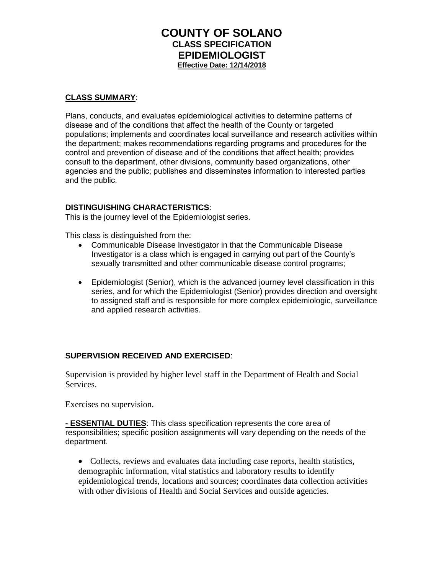# **COUNTY OF SOLANO CLASS SPECIFICATION EPIDEMIOLOGIST Effective Date: 12/14/2018**

#### **CLASS SUMMARY**:

Plans, conducts, and evaluates epidemiological activities to determine patterns of disease and of the conditions that affect the health of the County or targeted populations; implements and coordinates local surveillance and research activities within the department; makes recommendations regarding programs and procedures for the control and prevention of disease and of the conditions that affect health; provides consult to the department, other divisions, community based organizations, other agencies and the public; publishes and disseminates information to interested parties and the public.

#### **DISTINGUISHING CHARACTERISTICS**:

This is the journey level of the Epidemiologist series.

This class is distinguished from the:

- Communicable Disease Investigator in that the Communicable Disease Investigator is a class which is engaged in carrying out part of the County's sexually transmitted and other communicable disease control programs;
- Epidemiologist (Senior), which is the advanced journey level classification in this series, and for which the Epidemiologist (Senior) provides direction and oversight to assigned staff and is responsible for more complex epidemiologic, surveillance and applied research activities.

#### **SUPERVISION RECEIVED AND EXERCISED**:

Supervision is provided by higher level staff in the Department of Health and Social Services.

Exercises no supervision.

**- ESSENTIAL DUTIES**: This class specification represents the core area of responsibilities; specific position assignments will vary depending on the needs of the department.

• Collects, reviews and evaluates data including case reports, health statistics, demographic information, vital statistics and laboratory results to identify epidemiological trends, locations and sources; coordinates data collection activities with other divisions of Health and Social Services and outside agencies.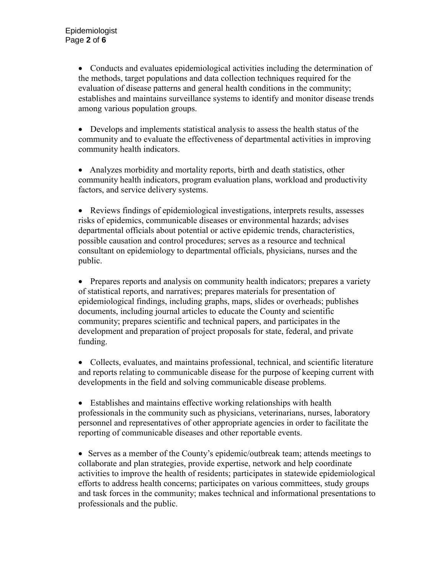• Conducts and evaluates epidemiological activities including the determination of the methods, target populations and data collection techniques required for the evaluation of disease patterns and general health conditions in the community; establishes and maintains surveillance systems to identify and monitor disease trends among various population groups.

• Develops and implements statistical analysis to assess the health status of the community and to evaluate the effectiveness of departmental activities in improving community health indicators.

• Analyzes morbidity and mortality reports, birth and death statistics, other community health indicators, program evaluation plans, workload and productivity factors, and service delivery systems.

• Reviews findings of epidemiological investigations, interprets results, assesses risks of epidemics, communicable diseases or environmental hazards; advises departmental officials about potential or active epidemic trends, characteristics, possible causation and control procedures; serves as a resource and technical consultant on epidemiology to departmental officials, physicians, nurses and the public.

• Prepares reports and analysis on community health indicators; prepares a variety of statistical reports, and narratives; prepares materials for presentation of epidemiological findings, including graphs, maps, slides or overheads; publishes documents, including journal articles to educate the County and scientific community; prepares scientific and technical papers, and participates in the development and preparation of project proposals for state, federal, and private funding.

• Collects, evaluates, and maintains professional, technical, and scientific literature and reports relating to communicable disease for the purpose of keeping current with developments in the field and solving communicable disease problems.

• Establishes and maintains effective working relationships with health professionals in the community such as physicians, veterinarians, nurses, laboratory personnel and representatives of other appropriate agencies in order to facilitate the reporting of communicable diseases and other reportable events.

• Serves as a member of the County's epidemic/outbreak team; attends meetings to collaborate and plan strategies, provide expertise, network and help coordinate activities to improve the health of residents; participates in statewide epidemiological efforts to address health concerns; participates on various committees, study groups and task forces in the community; makes technical and informational presentations to professionals and the public.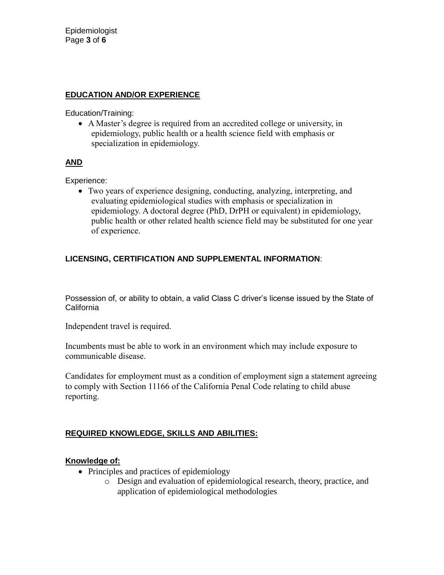#### **EDUCATION AND/OR EXPERIENCE**

Education/Training:

• A Master's degree is required from an accredited college or university, in epidemiology, public health or a health science field with emphasis or specialization in epidemiology.

### **AND**

Experience:

• Two years of experience designing, conducting, analyzing, interpreting, and evaluating epidemiological studies with emphasis or specialization in epidemiology. A doctoral degree (PhD, DrPH or equivalent) in epidemiology, public health or other related health science field may be substituted for one year of experience.

# **LICENSING, CERTIFICATION AND SUPPLEMENTAL INFORMATION**:

Possession of, or ability to obtain, a valid Class C driver's license issued by the State of **California** 

Independent travel is required.

Incumbents must be able to work in an environment which may include exposure to communicable disease.

Candidates for employment must as a condition of employment sign a statement agreeing to comply with Section 11166 of the California Penal Code relating to child abuse reporting.

### **REQUIRED KNOWLEDGE, SKILLS AND ABILITIES:**

### **Knowledge of:**

- Principles and practices of epidemiology
	- o Design and evaluation of epidemiological research, theory, practice, and application of epidemiological methodologies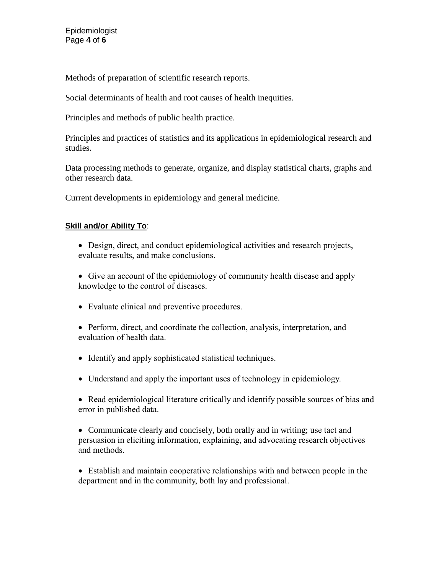Methods of preparation of scientific research reports.

Social determinants of health and root causes of health inequities.

Principles and methods of public health practice.

Principles and practices of statistics and its applications in epidemiological research and studies.

Data processing methods to generate, organize, and display statistical charts, graphs and other research data.

Current developments in epidemiology and general medicine.

# **Skill and/or Ability To**:

- Design, direct, and conduct epidemiological activities and research projects, evaluate results, and make conclusions.
- Give an account of the epidemiology of community health disease and apply knowledge to the control of diseases.
- Evaluate clinical and preventive procedures.
- Perform, direct, and coordinate the collection, analysis, interpretation, and evaluation of health data.
- Identify and apply sophisticated statistical techniques.
- Understand and apply the important uses of technology in epidemiology.
- Read epidemiological literature critically and identify possible sources of bias and error in published data.

• Communicate clearly and concisely, both orally and in writing; use tact and persuasion in eliciting information, explaining, and advocating research objectives and methods.

• Establish and maintain cooperative relationships with and between people in the department and in the community, both lay and professional.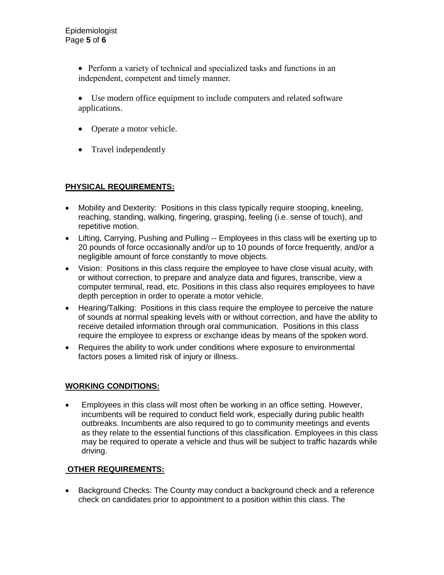• Perform a variety of technical and specialized tasks and functions in an independent, competent and timely manner.

- Use modern office equipment to include computers and related software applications.
- Operate a motor vehicle.
- Travel independently

# **PHYSICAL REQUIREMENTS:**

- Mobility and Dexterity: Positions in this class typically require stooping, kneeling, reaching, standing, walking, fingering, grasping, feeling (i.e. sense of touch), and repetitive motion.
- Lifting, Carrying, Pushing and Pulling -- Employees in this class will be exerting up to 20 pounds of force occasionally and/or up to 10 pounds of force frequently, and/or a negligible amount of force constantly to move objects.
- Vision: Positions in this class require the employee to have close visual acuity, with or without correction, to prepare and analyze data and figures, transcribe, view a computer terminal, read, etc. Positions in this class also requires employees to have depth perception in order to operate a motor vehicle.
- Hearing/Talking: Positions in this class require the employee to perceive the nature of sounds at normal speaking levels with or without correction, and have the ability to receive detailed information through oral communication. Positions in this class require the employee to express or exchange ideas by means of the spoken word.
- Requires the ability to work under conditions where exposure to environmental factors poses a limited risk of injury or illness.

### **WORKING CONDITIONS:**

• Employees in this class will most often be working in an office setting. However, incumbents will be required to conduct field work, especially during public health outbreaks. Incumbents are also required to go to community meetings and events as they relate to the essential functions of this classification. Employees in this class may be required to operate a vehicle and thus will be subject to traffic hazards while driving.

### **OTHER REQUIREMENTS:**

• Background Checks: The County may conduct a background check and a reference check on candidates prior to appointment to a position within this class. The